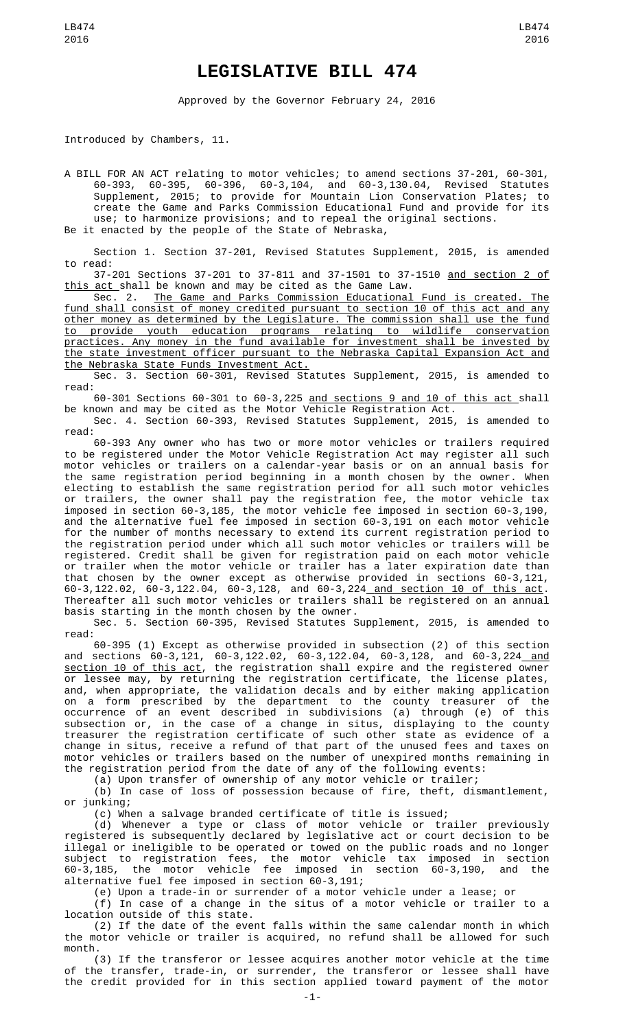## **LEGISLATIVE BILL 474**

Approved by the Governor February 24, 2016

Introduced by Chambers, 11.

A BILL FOR AN ACT relating to motor vehicles; to amend sections 37-201, 60-301, 60-393, 60-395, 60-396, 60-3,104, and 60-3,130.04, Revised Statutes Supplement, 2015; to provide for Mountain Lion Conservation Plates; to create the Game and Parks Commission Educational Fund and provide for its use; to harmonize provisions; and to repeal the original sections. Be it enacted by the people of the State of Nebraska,

Section 1. Section 37-201, Revised Statutes Supplement, 2015, is amended to read:

37-201 Sections 37-201 to 37-811 and 37-1501 to 37-1510 and section 2 of this act shall be known and may be cited as the Game Law.

Sec. 2. The Game and Parks Commission Educational Fund is created. The fund shall consist of money credited pursuant to section 10 of this act and any other money as determined by the Legislature. The commission shall use the fund to provide youth education programs relating to wildlife conservation practices. Any money in the fund available for investment shall be invested by the state investment officer pursuant to the Nebraska Capital Expansion Act and the Nebraska State Funds Investment Act.

Sec. 3. Section 60-301, Revised Statutes Supplement, 2015, is amended to read:

60-301 Sections 60-301 to 60-3,225 and sections 9 and 10 of this act shall be known and may be cited as the Motor Vehicle Registration Act.

Sec. 4. Section 60-393, Revised Statutes Supplement, 2015, is amended to read:

60-393 Any owner who has two or more motor vehicles or trailers required to be registered under the Motor Vehicle Registration Act may register all such motor vehicles or trailers on a calendar-year basis or on an annual basis for the same registration period beginning in a month chosen by the owner. When electing to establish the same registration period for all such motor vehicles or trailers, the owner shall pay the registration fee, the motor vehicle tax imposed in section 60-3,185, the motor vehicle fee imposed in section 60-3,190, and the alternative fuel fee imposed in section 60-3,191 on each motor vehicle for the number of months necessary to extend its current registration period to the registration period under which all such motor vehicles or trailers will be registered. Credit shall be given for registration paid on each motor vehicle or trailer when the motor vehicle or trailer has a later expiration date than that chosen by the owner except as otherwise provided in sections 60-3,121, 60-3,122.02, 60-3,122.04, 60-3,128, and 60-3,224 and section 10 of this act. Thereafter all such motor vehicles or trailers shall be registered on an annual basis starting in the month chosen by the owner.

Sec. 5. Section 60-395, Revised Statutes Supplement, 2015, is amended to read:

60-395 (1) Except as otherwise provided in subsection (2) of this section and sections 60-3,121, 60-3,122.02, 60-3,122.04, 60-3,128, and 60-3,224<u>\_and</u> section 10 of this act, the registration shall expire and the registered owner or lessee may, by returning the registration certificate, the license plates, and, when appropriate, the validation decals and by either making application on a form prescribed by the department to the county treasurer of the occurrence of an event described in subdivisions (a) through (e) of this subsection or, in the case of a change in situs, displaying to the county treasurer the registration certificate of such other state as evidence of a change in situs, receive a refund of that part of the unused fees and taxes on motor vehicles or trailers based on the number of unexpired months remaining in the registration period from the date of any of the following events:

(a) Upon transfer of ownership of any motor vehicle or trailer;

(b) In case of loss of possession because of fire, theft, dismantlement, or junking;

(c) When a salvage branded certificate of title is issued;

(d) Whenever a type or class of motor vehicle or trailer previously registered is subsequently declared by legislative act or court decision to be illegal or ineligible to be operated or towed on the public roads and no longer subject to registration fees, the motor vehicle tax imposed in section 60-3,185, the motor vehicle fee imposed in section 60-3,190, and the alternative fuel fee imposed in section 60-3,191;

(e) Upon a trade-in or surrender of a motor vehicle under a lease; or

(f) In case of a change in the situs of a motor vehicle or trailer to a location outside of this state.

(2) If the date of the event falls within the same calendar month in which the motor vehicle or trailer is acquired, no refund shall be allowed for such month.

(3) If the transferor or lessee acquires another motor vehicle at the time of the transfer, trade-in, or surrender, the transferor or lessee shall have the credit provided for in this section applied toward payment of the motor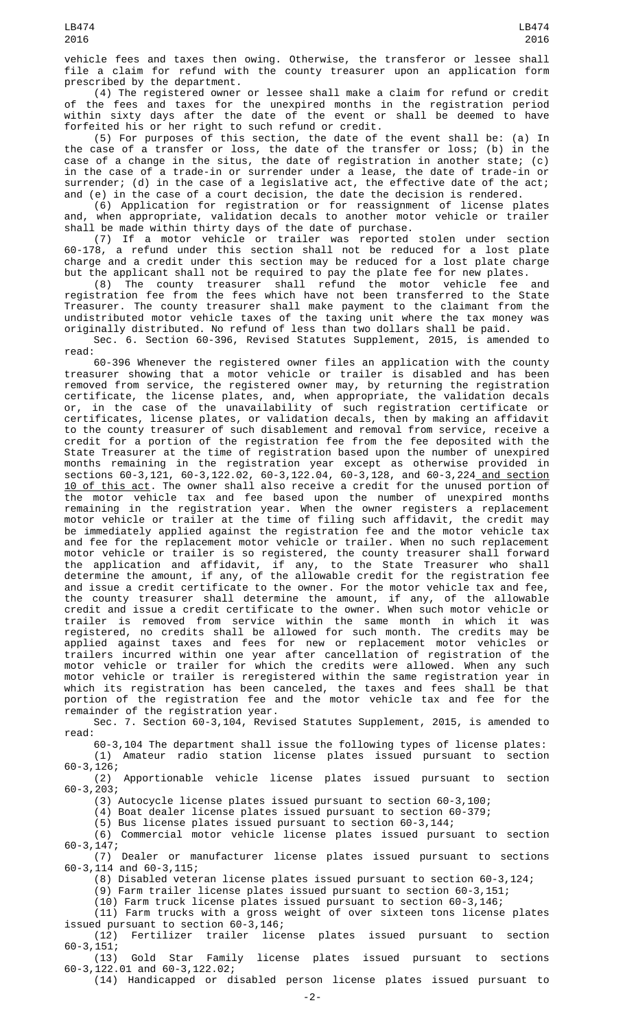vehicle fees and taxes then owing. Otherwise, the transferor or lessee shall file a claim for refund with the county treasurer upon an application form prescribed by the department.

(4) The registered owner or lessee shall make a claim for refund or credit of the fees and taxes for the unexpired months in the registration period within sixty days after the date of the event or shall be deemed to have forfeited his or her right to such refund or credit.

(5) For purposes of this section, the date of the event shall be: (a) In the case of a transfer or loss, the date of the transfer or loss; (b) in the case of a change in the situs, the date of registration in another state; (c) in the case of a trade-in or surrender under a lease, the date of trade-in or surrender; (d) in the case of a legislative act, the effective date of the act; and (e) in the case of a court decision, the date the decision is rendered.

(6) Application for registration or for reassignment of license plates and, when appropriate, validation decals to another motor vehicle or trailer shall be made within thirty days of the date of purchase.

(7) If a motor vehicle or trailer was reported stolen under section 60-178, a refund under this section shall not be reduced for a lost plate charge and a credit under this section may be reduced for a lost plate charge but the applicant shall not be required to pay the plate fee for new plates.

(8) The county treasurer shall refund the motor vehicle fee and registration fee from the fees which have not been transferred to the State Treasurer. The county treasurer shall make payment to the claimant from the undistributed motor vehicle taxes of the taxing unit where the tax money was originally distributed. No refund of less than two dollars shall be paid.

Sec. 6. Section 60-396, Revised Statutes Supplement, 2015, is amended to read:

60-396 Whenever the registered owner files an application with the county treasurer showing that a motor vehicle or trailer is disabled and has been removed from service, the registered owner may, by returning the registration certificate, the license plates, and, when appropriate, the validation decals or, in the case of the unavailability of such registration certificate or certificates, license plates, or validation decals, then by making an affidavit to the county treasurer of such disablement and removal from service, receive a credit for a portion of the registration fee from the fee deposited with the State Treasurer at the time of registration based upon the number of unexpired months remaining in the registration year except as otherwise provided in sections 60-3,121, 60-3,122.02, 60-3,122.04, 60-3,128, and 60-3,224 and section 10 of this act. The owner shall also receive a credit for the unused portion of the motor vehicle tax and fee based upon the number of unexpired months remaining in the registration year. When the owner registers a replacement motor vehicle or trailer at the time of filing such affidavit, the credit may be immediately applied against the registration fee and the motor vehicle tax and fee for the replacement motor vehicle or trailer. When no such replacement motor vehicle or trailer is so registered, the county treasurer shall forward the application and affidavit, if any, to the State Treasurer who shall determine the amount, if any, of the allowable credit for the registration fee and issue a credit certificate to the owner. For the motor vehicle tax and fee, the county treasurer shall determine the amount, if any, of the allowable credit and issue a credit certificate to the owner. When such motor vehicle or trailer is removed from service within the same month in which it was registered, no credits shall be allowed for such month. The credits may be applied against taxes and fees for new or replacement motor vehicles or trailers incurred within one year after cancellation of registration of the motor vehicle or trailer for which the credits were allowed. When any such motor vehicle or trailer is reregistered within the same registration year in which its registration has been canceled, the taxes and fees shall be that portion of the registration fee and the motor vehicle tax and fee for the remainder of the registration year.

Sec. 7. Section 60-3,104, Revised Statutes Supplement, 2015, is amended to read:

60-3,104 The department shall issue the following types of license plates: (1) Amateur radio station license plates issued pursuant to section 60-3,126;

Apportionable vehicle license plates issued pursuant to section  $(2)$ <br>60-3,203;

(3) Autocycle license plates issued pursuant to section 60-3,100;

(4) Boat dealer license plates issued pursuant to section 60-379;

(5) Bus license plates issued pursuant to section 60-3,144;

(6) Commercial motor vehicle license plates issued pursuant to section 60-3,147;

(7) Dealer or manufacturer license plates issued pursuant to sections 60-3,114 and 60-3,115;

(8) Disabled veteran license plates issued pursuant to section 60-3,124;

(9) Farm trailer license plates issued pursuant to section 60-3,151;

(10) Farm truck license plates issued pursuant to section 60-3,146;

(11) Farm trucks with a gross weight of over sixteen tons license plates issued pursuant to section 60-3,146;

(12) Fertilizer trailer license plates issued pursuant to section 60-3,151;

Gold Star Family license plates issued pursuant to sections 60-3,122.01 and 60-3,122.02;

(14) Handicapped or disabled person license plates issued pursuant to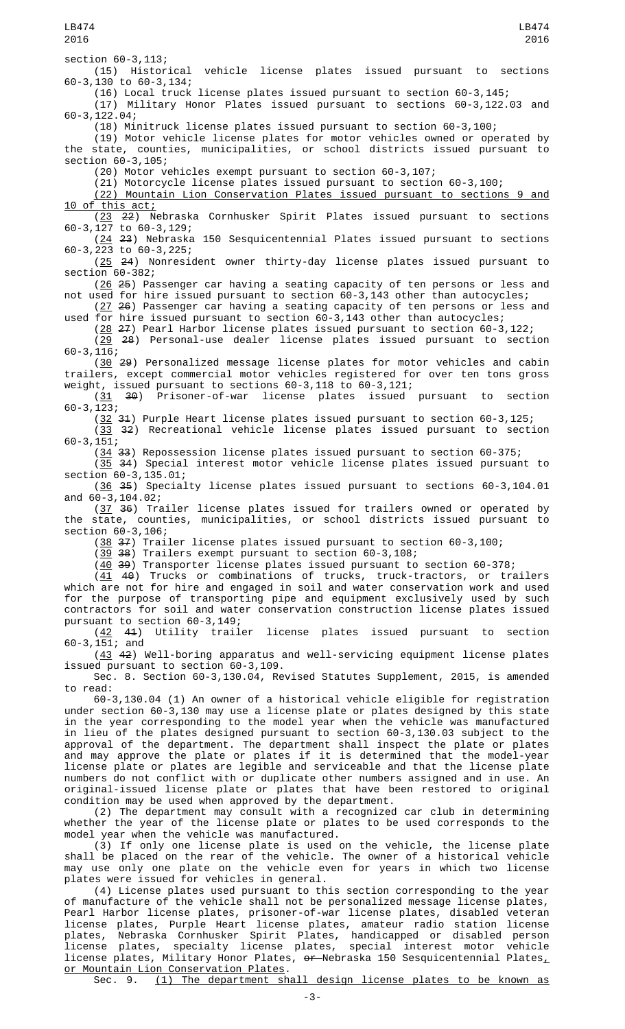LB474 2016

(16) Local truck license plates issued pursuant to section 60-3,145;

(17) Military Honor Plates issued pursuant to sections 60-3,122.03 and 60-3,122.04;

(18) Minitruck license plates issued pursuant to section 60-3,100;

(19) Motor vehicle license plates for motor vehicles owned or operated by the state, counties, municipalities, or school districts issued pursuant to section 60-3,105;

(20) Motor vehicles exempt pursuant to section 60-3,107;

(21) Motorcycle license plates issued pursuant to section 60-3,100;

(22) Mountain Lion Conservation Plates issued pursuant to sections 9 and 10 of this act;

(23 22) Nebraska Cornhusker Spirit Plates issued pursuant to sections 60-3,127 to 60-3,129;

(24 23) Nebraska 150 Sesquicentennial Plates issued pursuant to sections 60-3,223 to 60-3,225;

(25 24) Nonresident owner thirty-day license plates issued pursuant to section 60-382;

(26 25) Passenger car having a seating capacity of ten persons or less and not used for hire issued pursuant to section 60-3,143 other than autocycles;

(27 26) Passenger car having a seating capacity of ten persons or less and used for hire issued pursuant to section 60-3,143 other than autocycles;

 $(28 \t27)$  Pearl Harbor license plates issued pursuant to section 60-3,122; (29 28) Personal-use dealer license plates issued pursuant to section

60-3,116;

(30 29) Personalized message license plates for motor vehicles and cabin trailers, except commercial motor vehicles registered for over ten tons gross weight, issued pursuant to sections  $60-3,118$  to  $60-3,121$ ;<br>(31  $30$ ) Prisoner-of-war license plates issued

(31 30) Prisoner-of-war license plates issued pursuant to section 60-3,123;

 $(32 \t31)$  Purple Heart license plates issued pursuant to section 60-3,125;

(33 32) Recreational vehicle license plates issued pursuant to section 60-3,151;

(34 33) Repossession license plates issued pursuant to section 60-375;

(35 34) Special interest motor vehicle license plates issued pursuant to section 60-3,135.01;

(36 35) Specialty license plates issued pursuant to sections 60-3,104.01 and 60-3,104.02;

(37 36) Trailer license plates issued for trailers owned or operated by the state, counties, municipalities, or school districts issued pursuant to section 60-3,106;

(38 37) Trailer license plates issued pursuant to section 60-3,100;

(39 38) Trailers exempt pursuant to section 60-3,108;

 $(40, 39)$  Transporter license plates issued pursuant to section 60-378;

(41 40) Trucks or combinations of trucks, truck-tractors, or trailers which are not for hire and engaged in soil and water conservation work and used for the purpose of transporting pipe and equipment exclusively used by such contractors for soil and water conservation construction license plates issued pursuant to section 60-3,149;

(42 41) Utility trailer license plates issued pursuant to section 60-3,151; and

(43 42) Well-boring apparatus and well-servicing equipment license plates issued pursuant to section 60-3,109.

Sec. 8. Section 60-3,130.04, Revised Statutes Supplement, 2015, is amended to read:

60-3,130.04 (1) An owner of a historical vehicle eligible for registration under section  $60-3,130$  may use a license plate or plates designed by this state in the year corresponding to the model year when the vehicle was manufactured in lieu of the plates designed pursuant to section 60-3,130.03 subject to the approval of the department. The department shall inspect the plate or plates and may approve the plate or plates if it is determined that the model-year license plate or plates are legible and serviceable and that the license plate numbers do not conflict with or duplicate other numbers assigned and in use. An original-issued license plate or plates that have been restored to original condition may be used when approved by the department.

(2) The department may consult with a recognized car club in determining whether the year of the license plate or plates to be used corresponds to the model year when the vehicle was manufactured.

(3) If only one license plate is used on the vehicle, the license plate shall be placed on the rear of the vehicle. The owner of a historical vehicle may use only one plate on the vehicle even for years in which two license plates were issued for vehicles in general.

(4) License plates used pursuant to this section corresponding to the year of manufacture of the vehicle shall not be personalized message license plates, Pearl Harbor license plates, prisoner-of-war license plates, disabled veteran license plates, Purple Heart license plates, amateur radio station license plates, Nebraska Cornhusker Spirit Plates, handicapped or disabled person license plates, specialty license plates, special interest motor vehicle license plates, Military Honor Plates, <del>or </del>Nebraska 150 Sesquicentennial Plates $_{{\scriptscriptstyle L}}$ or Mountain Lion Conservation Plates.

Sec. 9. (1) The department shall design license plates to be known as